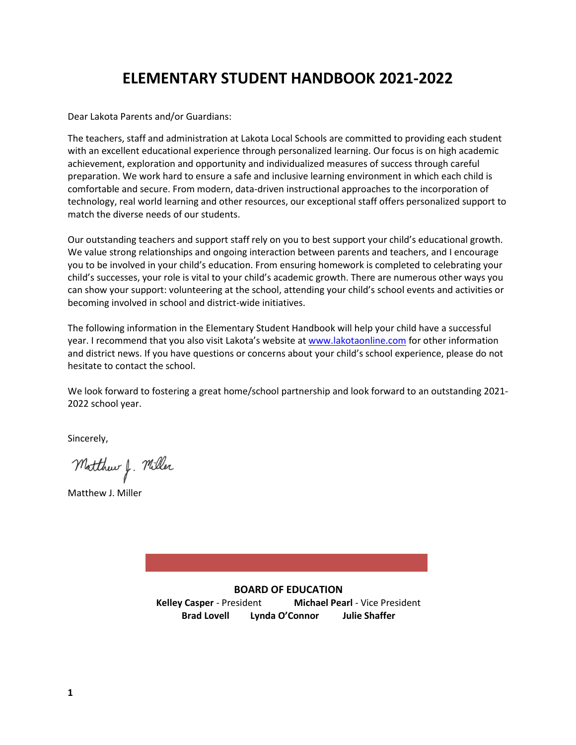# **ELEMENTARY STUDENT HANDBOOK 2021-2022**

Dear Lakota Parents and/or Guardians:

The teachers, staff and administration at Lakota Local Schools are committed to providing each student with an excellent educational experience through personalized learning. Our focus is on high academic achievement, exploration and opportunity and individualized measures of success through careful preparation. We work hard to ensure a safe and inclusive learning environment in which each child is comfortable and secure. From modern, data-driven instructional approaches to the incorporation of technology, real world learning and other resources, our exceptional staff offers personalized support to match the diverse needs of our students.

Our outstanding teachers and support staff rely on you to best support your child's educational growth. We value strong relationships and ongoing interaction between parents and teachers, and I encourage you to be involved in your child's education. From ensuring homework is completed to celebrating your child's successes, your role is vital to your child's academic growth. There are numerous other ways you can show your support: volunteering at the school, attending your child's school events and activities or becoming involved in school and district-wide initiatives.

The following information in the Elementary Student Handbook will help your child have a successful year. I recommend that you also visit Lakota's website at [www.lakotaonline.com](http://www.lakotaonline.com/) for other information and district news. If you have questions or concerns about your child's school experience, please do not hesitate to contact the school.

We look forward to fostering a great home/school partnership and look forward to an outstanding 2021- 2022 school year.

Sincerely,

Motthew J. Miller

Matthew J. Miller

**BOARD OF EDUCATION Kelley Casper** - President **Michael Pearl** - Vice President **Brad Lovell Lynda O'Connor Julie Shaffer**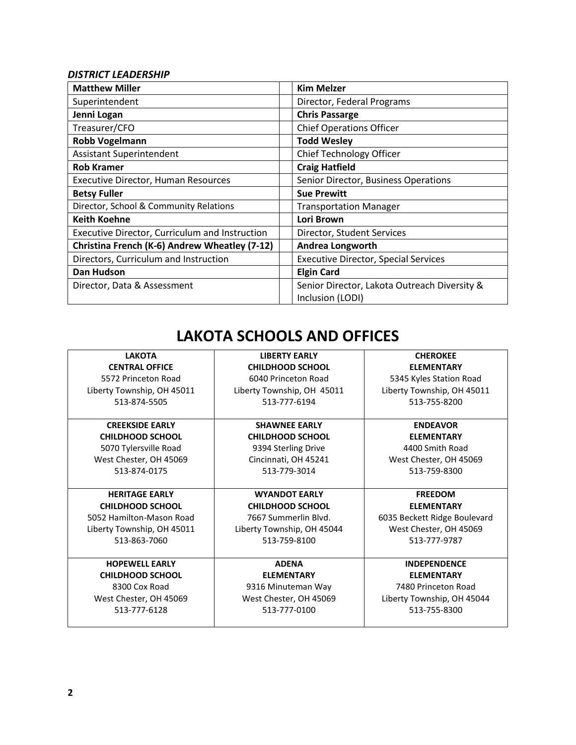## *DISTRICT LEADERSHIP*

| <b>Matthew Miller</b>                          | <b>Kim Melzer</b>                            |
|------------------------------------------------|----------------------------------------------|
| Superintendent                                 | Director, Federal Programs                   |
| Jenni Logan                                    | <b>Chris Passarge</b>                        |
| Treasurer/CFO                                  | <b>Chief Operations Officer</b>              |
| <b>Robb Vogelmann</b>                          | <b>Todd Wesley</b>                           |
| <b>Assistant Superintendent</b>                | Chief Technology Officer                     |
| <b>Rob Kramer</b>                              | <b>Craig Hatfield</b>                        |
| Executive Director, Human Resources            | Senior Director, Business Operations         |
| <b>Betsy Fuller</b>                            | <b>Sue Prewitt</b>                           |
| Director, School & Community Relations         | <b>Transportation Manager</b>                |
| <b>Keith Koehne</b>                            | Lori Brown                                   |
| Executive Director, Curriculum and Instruction | Director, Student Services                   |
| Christina French (K-6) Andrew Wheatley (7-12)  | <b>Andrea Longworth</b>                      |
| Directors, Curriculum and Instruction          | <b>Executive Director, Special Services</b>  |
| Dan Hudson                                     | <b>Elgin Card</b>                            |
| Director, Data & Assessment                    | Senior Director, Lakota Outreach Diversity & |
|                                                | Inclusion (LODI)                             |

# **LAKOTA SCHOOLS AND OFFICES**

| <b>LAKOTA</b>              | <b>LIBERTY EARLY</b>       | <b>CHEROKEE</b>              |
|----------------------------|----------------------------|------------------------------|
| <b>CENTRAL OFFICE</b>      | <b>CHILDHOOD SCHOOL</b>    | <b>ELEMENTARY</b>            |
| 5572 Princeton Road        | 6040 Princeton Road        | 5345 Kyles Station Road      |
| Liberty Township, OH 45011 | Liberty Township, OH 45011 | Liberty Township, OH 45011   |
| 513-874-5505               | 513-777-6194               | 513-755-8200                 |
|                            |                            |                              |
| <b>CREEKSIDE EARLY</b>     | <b>SHAWNEE EARLY</b>       | <b>ENDEAVOR</b>              |
| <b>CHILDHOOD SCHOOL</b>    | <b>CHILDHOOD SCHOOL</b>    | <b>ELEMENTARY</b>            |
| 5070 Tylersville Road      | 9394 Sterling Drive        | 4400 Smith Road              |
| West Chester, OH 45069     | Cincinnati, OH 45241       | West Chester, OH 45069       |
| 513-874-0175               | 513-779-3014               | 513-759-8300                 |
|                            |                            |                              |
| <b>HERITAGE EARLY</b>      | <b>WYANDOT EARLY</b>       | <b>FREEDOM</b>               |
| <b>CHILDHOOD SCHOOL</b>    | <b>CHILDHOOD SCHOOL</b>    | <b>ELEMENTARY</b>            |
| 5052 Hamilton-Mason Road   | 7667 Summerlin Blvd.       | 6035 Beckett Ridge Boulevard |
| Liberty Township, OH 45011 | Liberty Township, OH 45044 | West Chester, OH 45069       |
| 513-863-7060               | 513-759-8100               | 513-777-9787                 |
|                            |                            |                              |
| <b>HOPEWELL EARLY</b>      | <b>ADENA</b>               | <b>INDEPENDENCE</b>          |
| <b>CHILDHOOD SCHOOL</b>    | <b>ELEMENTARY</b>          | <b>ELEMENTARY</b>            |
| 8300 Cox Road              | 9316 Minuteman Way         | 7480 Princeton Road          |
| West Chester, OH 45069     | West Chester, OH 45069     | Liberty Township, OH 45044   |
| 513-777-6128               | 513-777-0100               | 513-755-8300                 |
|                            |                            |                              |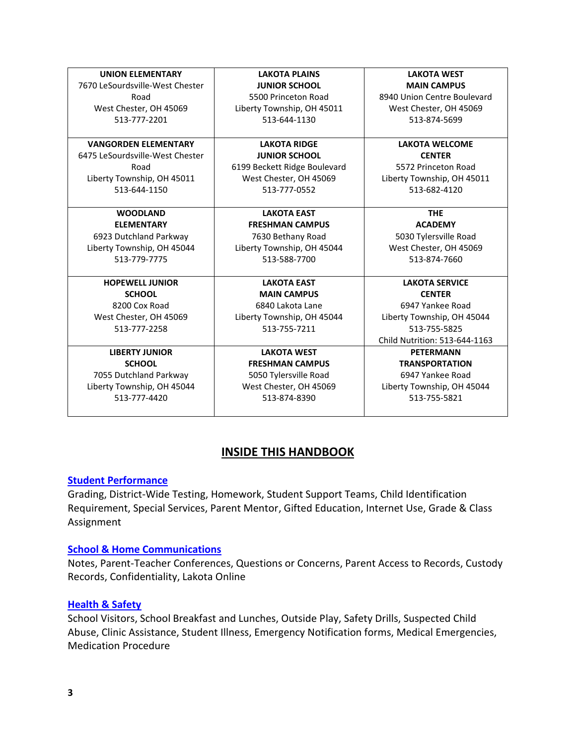| <b>UNION ELEMENTARY</b>         | <b>LAKOTA PLAINS</b>         | <b>LAKOTA WEST</b>            |
|---------------------------------|------------------------------|-------------------------------|
| 7670 LeSourdsville-West Chester | <b>JUNIOR SCHOOL</b>         | <b>MAIN CAMPUS</b>            |
| Road                            | 5500 Princeton Road          | 8940 Union Centre Boulevard   |
| West Chester, OH 45069          | Liberty Township, OH 45011   | West Chester, OH 45069        |
| 513-777-2201                    | 513-644-1130                 | 513-874-5699                  |
|                                 |                              |                               |
| <b>VANGORDEN ELEMENTARY</b>     | <b>LAKOTA RIDGE</b>          | <b>LAKOTA WELCOME</b>         |
| 6475 LeSourdsville-West Chester | <b>JUNIOR SCHOOL</b>         | <b>CENTER</b>                 |
| Road                            | 6199 Beckett Ridge Boulevard | 5572 Princeton Road           |
| Liberty Township, OH 45011      | West Chester, OH 45069       | Liberty Township, OH 45011    |
| 513-644-1150                    | 513-777-0552                 | 513-682-4120                  |
|                                 |                              |                               |
| <b>WOODLAND</b>                 | <b>LAKOTA EAST</b>           | <b>THE</b>                    |
| <b>ELEMENTARY</b>               | <b>FRESHMAN CAMPUS</b>       | <b>ACADEMY</b>                |
| 6923 Dutchland Parkway          | 7630 Bethany Road            | 5030 Tylersville Road         |
| Liberty Township, OH 45044      | Liberty Township, OH 45044   | West Chester, OH 45069        |
| 513-779-7775                    | 513-588-7700                 | 513-874-7660                  |
|                                 |                              |                               |
| <b>HOPEWELL JUNIOR</b>          | <b>LAKOTA EAST</b>           | <b>LAKOTA SERVICE</b>         |
| <b>SCHOOL</b>                   | <b>MAIN CAMPUS</b>           | <b>CENTER</b>                 |
| 8200 Cox Road                   | 6840 Lakota Lane             | 6947 Yankee Road              |
| West Chester, OH 45069          | Liberty Township, OH 45044   | Liberty Township, OH 45044    |
| 513-777-2258                    | 513-755-7211                 | 513-755-5825                  |
|                                 |                              | Child Nutrition: 513-644-1163 |
| <b>LIBERTY JUNIOR</b>           | <b>LAKOTA WEST</b>           | <b>PETERMANN</b>              |
| <b>SCHOOL</b>                   | <b>FRESHMAN CAMPUS</b>       | <b>TRANSPORTATION</b>         |
| 7055 Dutchland Parkway          | 5050 Tylersville Road        | 6947 Yankee Road              |
| Liberty Township, OH 45044      | West Chester, OH 45069       | Liberty Township, OH 45044    |
| 513-777-4420                    | 513-874-8390                 | 513-755-5821                  |
|                                 |                              |                               |

## **INSIDE THIS HANDBOOK**

#### **[Student Performance](#page-6-0)**

Grading, District-Wide Testing, Homework, Student Support Teams, Child Identification Requirement, Special Services, Parent Mentor, Gifted Education, Internet Use, Grade & Class Assignment

#### **[School & Home Communications](#page-9-0)**

Notes, Parent-Teacher Conferences, Questions or Concerns, Parent Access to Records, Custody Records, Confidentiality, Lakota Online

#### **[Health & Safety](#page-11-0)**

School Visitors, School Breakfast and Lunches, Outside Play, Safety Drills, Suspected Child Abuse, Clinic Assistance, Student Illness, Emergency Notification forms, Medical Emergencies, Medication Procedure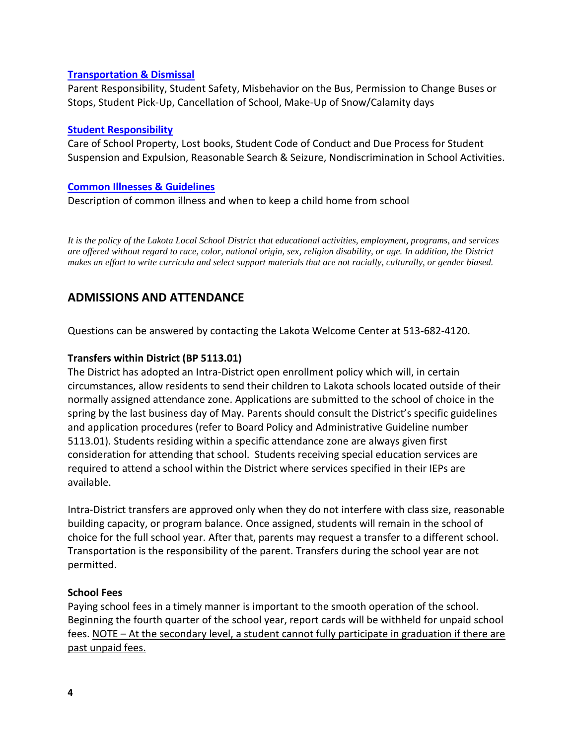#### **Transportation & Dismissal**

Parent Responsibility, Student Safety, Misbehavior on the Bus, Permission to Change Buses or Stops, Student Pick-Up, Cancellation of School, Make-Up of Snow/Calamity days

#### **[Student Responsibility](#page-18-0)**

Care of School Property, Lost books, Student Code of Conduct and Due Process for Student Suspension and Expulsion, Reasonable Search & Seizure, Nondiscrimination in School Activities.

#### **[Common Illnesses & Guidelines](#page-30-0)**

Description of common illness and when to keep a child home from school

*It is the policy of the Lakota Local School District that educational activities, employment, programs, and services are offered without regard to race, color, national origin, sex, religion disability, or age. In addition, the District makes an effort to write curricula and select support materials that are not racially, culturally, or gender biased.*

## **ADMISSIONS AND ATTENDANCE**

Questions can be answered by contacting the Lakota Welcome Center at 513-682-4120.

#### **Transfers within District (BP 5113.01)**

The District has adopted an Intra-District open enrollment policy which will, in certain circumstances, allow residents to send their children to Lakota schools located outside of their normally assigned attendance zone. Applications are submitted to the school of choice in the spring by the last business day of May. Parents should consult the District's specific guidelines and application procedures (refer to Board Policy and Administrative Guideline number 5113.01). Students residing within a specific attendance zone are always given first consideration for attending that school. Students receiving special education services are required to attend a school within the District where services specified in their IEPs are available.

Intra-District transfers are approved only when they do not interfere with class size, reasonable building capacity, or program balance. Once assigned, students will remain in the school of choice for the full school year. After that, parents may request a transfer to a different school. Transportation is the responsibility of the parent. Transfers during the school year are not permitted.

#### **School Fees**

Paying school fees in a timely manner is important to the smooth operation of the school. Beginning the fourth quarter of the school year, report cards will be withheld for unpaid school fees. NOTE – At the secondary level, a student cannot fully participate in graduation if there are past unpaid fees.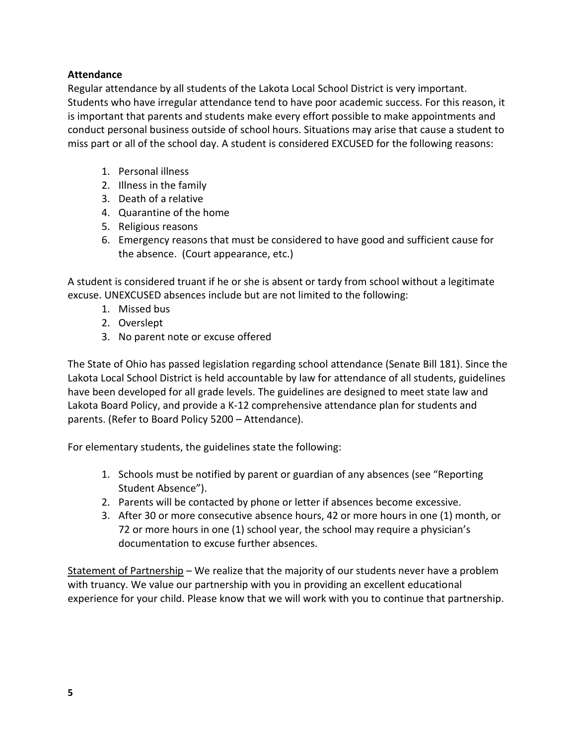## **Attendance**

Regular attendance by all students of the Lakota Local School District is very important. Students who have irregular attendance tend to have poor academic success. For this reason, it is important that parents and students make every effort possible to make appointments and conduct personal business outside of school hours. Situations may arise that cause a student to miss part or all of the school day. A student is considered EXCUSED for the following reasons:

- 1. Personal illness
- 2. Illness in the family
- 3. Death of a relative
- 4. Quarantine of the home
- 5. Religious reasons
- 6. Emergency reasons that must be considered to have good and sufficient cause for the absence. (Court appearance, etc.)

A student is considered truant if he or she is absent or tardy from school without a legitimate excuse. UNEXCUSED absences include but are not limited to the following:

- 1. Missed bus
- 2. Overslept
- 3. No parent note or excuse offered

The State of Ohio has passed legislation regarding school attendance (Senate Bill 181). Since the Lakota Local School District is held accountable by law for attendance of all students, guidelines have been developed for all grade levels. The guidelines are designed to meet state law and Lakota Board Policy, and provide a K-12 comprehensive attendance plan for students and parents. (Refer to Board Policy 5200 – Attendance).

For elementary students, the guidelines state the following:

- 1. Schools must be notified by parent or guardian of any absences (see "Reporting Student Absence").
- 2. Parents will be contacted by phone or letter if absences become excessive.
- 3. After 30 or more consecutive absence hours, 42 or more hours in one (1) month, or 72 or more hours in one (1) school year, the school may require a physician's documentation to excuse further absences.

Statement of Partnership – We realize that the majority of our students never have a problem with truancy. We value our partnership with you in providing an excellent educational experience for your child. Please know that we will work with you to continue that partnership.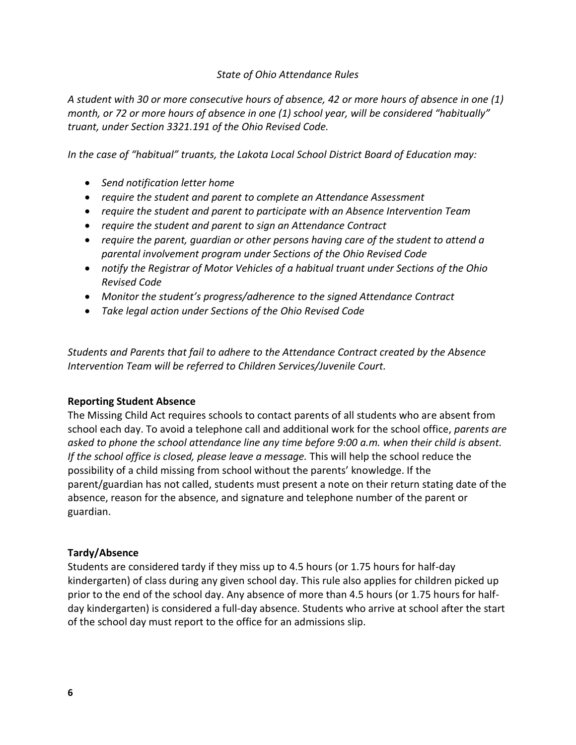## *State of Ohio Attendance Rules*

*A student with 30 or more consecutive hours of absence, 42 or more hours of absence in one (1) month, or 72 or more hours of absence in one (1) school year, will be considered "habitually" truant, under Section 3321.191 of the Ohio Revised Code.*

*In the case of "habitual" truants, the Lakota Local School District Board of Education may:*

- *Send notification letter home*
- *require the student and parent to complete an Attendance Assessment*
- *require the student and parent to participate with an Absence Intervention Team*
- *require the student and parent to sign an Attendance Contract*
- *require the parent, guardian or other persons having care of the student to attend a parental involvement program under Sections of the Ohio Revised Code*
- *notify the Registrar of Motor Vehicles of a habitual truant under Sections of the Ohio Revised Code*
- *Monitor the student's progress/adherence to the signed Attendance Contract*
- *Take legal action under Sections of the Ohio Revised Code*

*Students and Parents that fail to adhere to the Attendance Contract created by the Absence Intervention Team will be referred to Children Services/Juvenile Court.*

#### **Reporting Student Absence**

The Missing Child Act requires schools to contact parents of all students who are absent from school each day. To avoid a telephone call and additional work for the school office, *parents are asked to phone the school attendance line any time before 9:00 a.m. when their child is absent. If the school office is closed, please leave a message.* This will help the school reduce the possibility of a child missing from school without the parents' knowledge. If the parent/guardian has not called, students must present a note on their return stating date of the absence, reason for the absence, and signature and telephone number of the parent or guardian.

#### **Tardy/Absence**

Students are considered tardy if they miss up to 4.5 hours (or 1.75 hours for half-day kindergarten) of class during any given school day. This rule also applies for children picked up prior to the end of the school day. Any absence of more than 4.5 hours (or 1.75 hours for halfday kindergarten) is considered a full-day absence. Students who arrive at school after the start of the school day must report to the office for an admissions slip.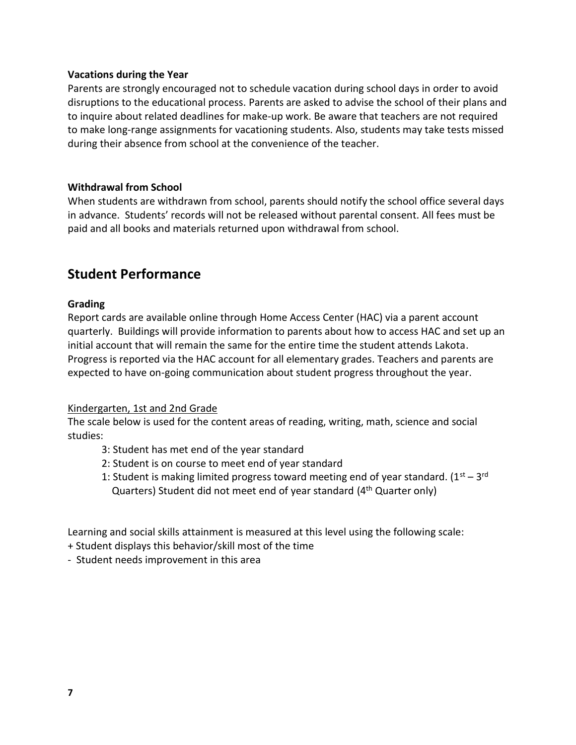#### **Vacations during the Year**

Parents are strongly encouraged not to schedule vacation during school days in order to avoid disruptions to the educational process. Parents are asked to advise the school of their plans and to inquire about related deadlines for make-up work. Be aware that teachers are not required to make long-range assignments for vacationing students. Also, students may take tests missed during their absence from school at the convenience of the teacher.

#### **Withdrawal from School**

When students are withdrawn from school, parents should notify the school office several days in advance. Students' records will not be released without parental consent. All fees must be paid and all books and materials returned upon withdrawal from school.

## <span id="page-6-0"></span>**Student Performance**

#### **Grading**

Report cards are available online through Home Access Center (HAC) via a parent account quarterly. Buildings will provide information to parents about how to access HAC and set up an initial account that will remain the same for the entire time the student attends Lakota. Progress is reported via the HAC account for all elementary grades. Teachers and parents are expected to have on-going communication about student progress throughout the year.

#### Kindergarten, 1st and 2nd Grade

The scale below is used for the content areas of reading, writing, math, science and social studies:

- 3: Student has met end of the year standard
- 2: Student is on course to meet end of year standard
- 1: Student is making limited progress toward meeting end of year standard.  $(1^{st} 3^{rd}$ Quarters) Student did not meet end of year standard (4<sup>th</sup> Quarter only)

Learning and social skills attainment is measured at this level using the following scale:

- + Student displays this behavior/skill most of the time
- Student needs improvement in this area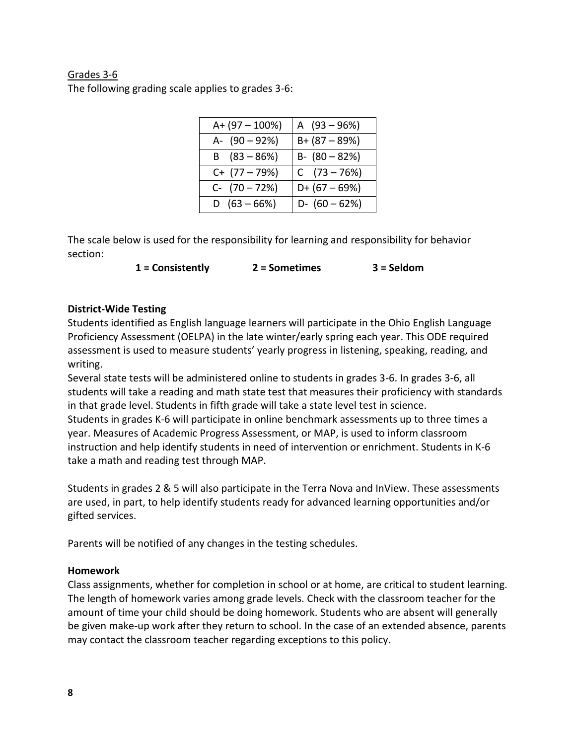## Grades 3-6 The following grading scale applies to grades 3-6:

| $A + (97 - 100\%)$ | A $(93 - 96%)$   |
|--------------------|------------------|
| A- $(90 - 92%)$    | $B + (87 - 89%)$ |
| $B(83 - 86%)$      | $B - (80 - 82%)$ |
| $C+$ (77 - 79%)    | $C(73-76%)$      |
| $C - (70 - 72%)$   | $D+ (67-69%)$    |
| $D(63 - 66%)$      | $D - (60 - 62%)$ |

The scale below is used for the responsibility for learning and responsibility for behavior section:

**1 = Consistently 2 = Sometimes 3 = Seldom**

## **District-Wide Testing**

Students identified as English language learners will participate in the Ohio English Language Proficiency Assessment (OELPA) in the late winter/early spring each year. This ODE required assessment is used to measure students' yearly progress in listening, speaking, reading, and writing.

Several state tests will be administered online to students in grades 3-6. In grades 3-6, all students will take a reading and math state test that measures their proficiency with standards in that grade level. Students in fifth grade will take a state level test in science. Students in grades K-6 will participate in online benchmark assessments up to three times a year. Measures of Academic Progress Assessment, or MAP, is used to inform classroom instruction and help identify students in need of intervention or enrichment. Students in K-6 take a math and reading test through MAP.

Students in grades 2 & 5 will also participate in the Terra Nova and InView. These assessments are used, in part, to help identify students ready for advanced learning opportunities and/or gifted services.

Parents will be notified of any changes in the testing schedules.

## **Homework**

Class assignments, whether for completion in school or at home, are critical to student learning. The length of homework varies among grade levels. Check with the classroom teacher for the amount of time your child should be doing homework. Students who are absent will generally be given make-up work after they return to school. In the case of an extended absence, parents may contact the classroom teacher regarding exceptions to this policy.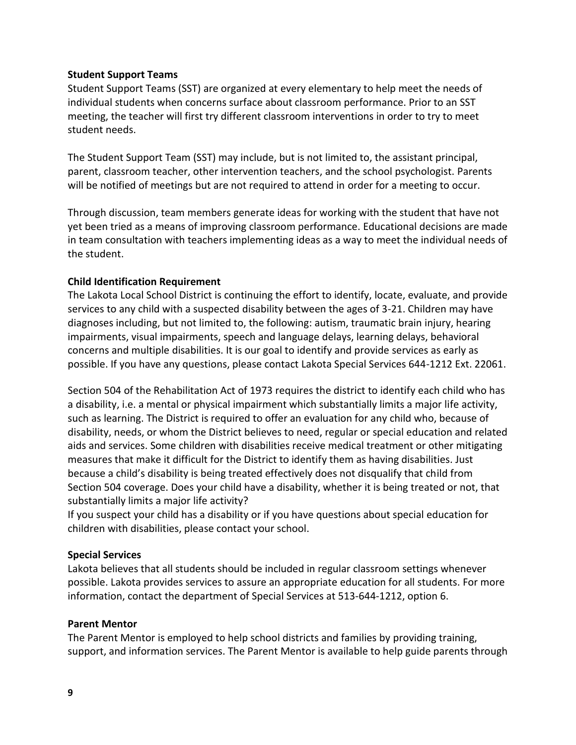#### **Student Support Teams**

Student Support Teams (SST) are organized at every elementary to help meet the needs of individual students when concerns surface about classroom performance. Prior to an SST meeting, the teacher will first try different classroom interventions in order to try to meet student needs.

The Student Support Team (SST) may include, but is not limited to, the assistant principal, parent, classroom teacher, other intervention teachers, and the school psychologist. Parents will be notified of meetings but are not required to attend in order for a meeting to occur.

Through discussion, team members generate ideas for working with the student that have not yet been tried as a means of improving classroom performance. Educational decisions are made in team consultation with teachers implementing ideas as a way to meet the individual needs of the student.

#### **Child Identification Requirement**

The Lakota Local School District is continuing the effort to identify, locate, evaluate, and provide services to any child with a suspected disability between the ages of 3-21. Children may have diagnoses including, but not limited to, the following: autism, traumatic brain injury, hearing impairments, visual impairments, speech and language delays, learning delays, behavioral concerns and multiple disabilities. It is our goal to identify and provide services as early as possible. If you have any questions, please contact Lakota Special Services 644-1212 Ext. 22061.

Section 504 of the Rehabilitation Act of 1973 requires the district to identify each child who has a disability, i.e. a mental or physical impairment which substantially limits a major life activity, such as learning. The District is required to offer an evaluation for any child who, because of disability, needs, or whom the District believes to need, regular or special education and related aids and services. Some children with disabilities receive medical treatment or other mitigating measures that make it difficult for the District to identify them as having disabilities. Just because a child's disability is being treated effectively does not disqualify that child from Section 504 coverage. Does your child have a disability, whether it is being treated or not, that substantially limits a major life activity?

If you suspect your child has a disability or if you have questions about special education for children with disabilities, please contact your school.

#### **Special Services**

Lakota believes that all students should be included in regular classroom settings whenever possible. Lakota provides services to assure an appropriate education for all students. For more information, contact the department of Special Services at 513-644-1212, option 6.

#### **Parent Mentor**

The Parent Mentor is employed to help school districts and families by providing training, support, and information services. The Parent Mentor is available to help guide parents through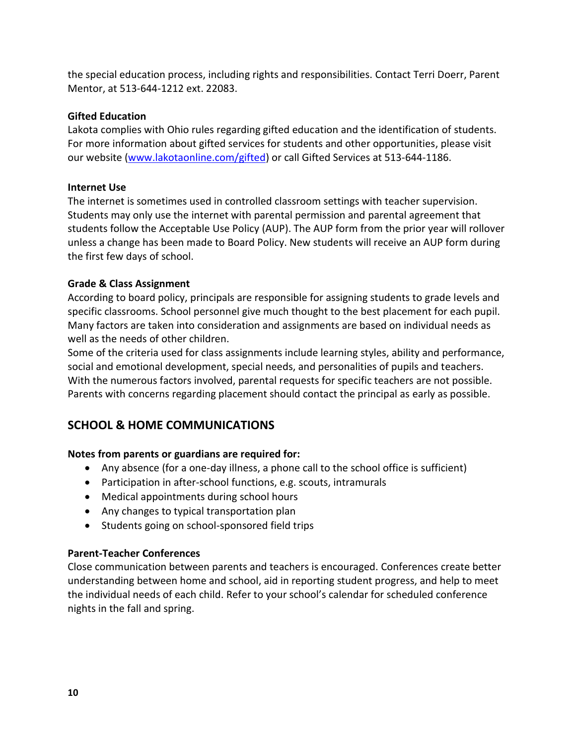the special education process, including rights and responsibilities. Contact Terri Doerr, Parent Mentor, at 513-644-1212 ext. 22083.

## **Gifted Education**

Lakota complies with Ohio rules regarding gifted education and the identification of students. For more information about gifted services for students and other opportunities, please visit our website [\(www.lakotaonline.com/gifted\)](http://www.lakotaonline.com/gifted) or call Gifted Services at 513-644-1186.

## **Internet Use**

The internet is sometimes used in controlled classroom settings with teacher supervision. Students may only use the internet with parental permission and parental agreement that students follow the Acceptable Use Policy (AUP). The AUP form from the prior year will rollover unless a change has been made to Board Policy. New students will receive an AUP form during the first few days of school.

## **Grade & Class Assignment**

According to board policy, principals are responsible for assigning students to grade levels and specific classrooms. School personnel give much thought to the best placement for each pupil. Many factors are taken into consideration and assignments are based on individual needs as well as the needs of other children.

Some of the criteria used for class assignments include learning styles, ability and performance, social and emotional development, special needs, and personalities of pupils and teachers. With the numerous factors involved, parental requests for specific teachers are not possible. Parents with concerns regarding placement should contact the principal as early as possible.

## <span id="page-9-0"></span>**SCHOOL & HOME COMMUNICATIONS**

## **Notes from parents or guardians are required for:**

- Any absence (for a one-day illness, a phone call to the school office is sufficient)
- Participation in after-school functions, e.g. scouts, intramurals
- Medical appointments during school hours
- Any changes to typical transportation plan
- Students going on school-sponsored field trips

## **Parent-Teacher Conferences**

Close communication between parents and teachers is encouraged. Conferences create better understanding between home and school, aid in reporting student progress, and help to meet the individual needs of each child. Refer to your school's calendar for scheduled conference nights in the fall and spring.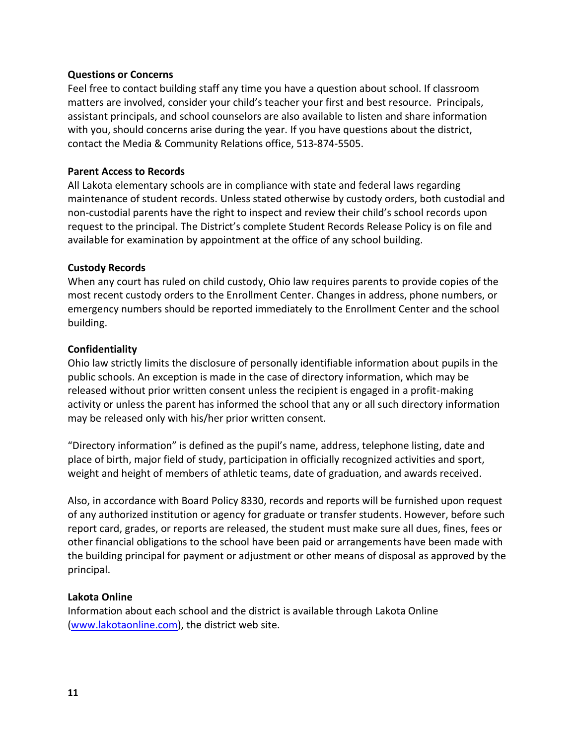#### **Questions or Concerns**

Feel free to contact building staff any time you have a question about school. If classroom matters are involved, consider your child's teacher your first and best resource. Principals, assistant principals, and school counselors are also available to listen and share information with you, should concerns arise during the year. If you have questions about the district, contact the Media & Community Relations office, 513-874-5505.

#### **Parent Access to Records**

All Lakota elementary schools are in compliance with state and federal laws regarding maintenance of student records. Unless stated otherwise by custody orders, both custodial and non-custodial parents have the right to inspect and review their child's school records upon request to the principal. The District's complete Student Records Release Policy is on file and available for examination by appointment at the office of any school building.

#### **Custody Records**

When any court has ruled on child custody, Ohio law requires parents to provide copies of the most recent custody orders to the Enrollment Center. Changes in address, phone numbers, or emergency numbers should be reported immediately to the Enrollment Center and the school building.

#### **Confidentiality**

Ohio law strictly limits the disclosure of personally identifiable information about pupils in the public schools. An exception is made in the case of directory information, which may be released without prior written consent unless the recipient is engaged in a profit-making activity or unless the parent has informed the school that any or all such directory information may be released only with his/her prior written consent.

"Directory information" is defined as the pupil's name, address, telephone listing, date and place of birth, major field of study, participation in officially recognized activities and sport, weight and height of members of athletic teams, date of graduation, and awards received.

Also, in accordance with Board Policy 8330, records and reports will be furnished upon request of any authorized institution or agency for graduate or transfer students. However, before such report card, grades, or reports are released, the student must make sure all dues, fines, fees or other financial obligations to the school have been paid or arrangements have been made with the building principal for payment or adjustment or other means of disposal as approved by the principal.

#### **Lakota Online**

Information about each school and the district is available through Lakota Online [\(www.lakotaonline.com\)](http://www.lakotaonline.com/), the district web site.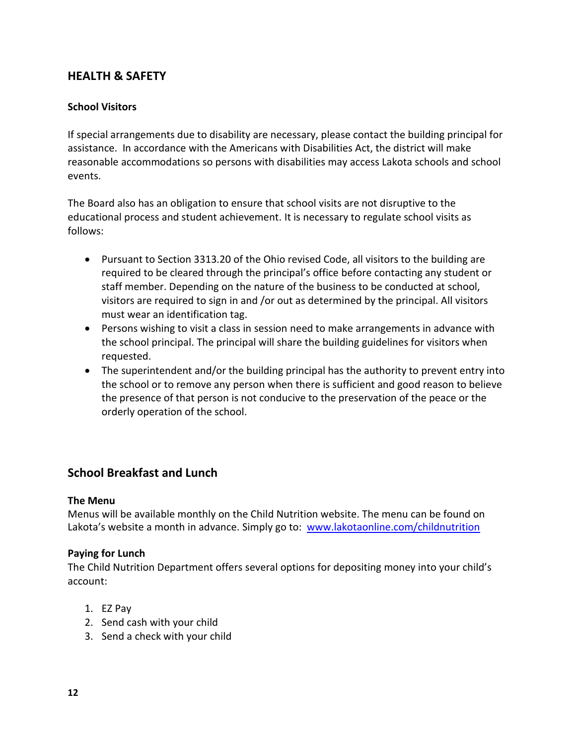## <span id="page-11-0"></span>**HEALTH & SAFETY**

## **School Visitors**

If special arrangements due to disability are necessary, please contact the building principal for assistance. In accordance with the Americans with Disabilities Act, the district will make reasonable accommodations so persons with disabilities may access Lakota schools and school events.

The Board also has an obligation to ensure that school visits are not disruptive to the educational process and student achievement. It is necessary to regulate school visits as follows:

- Pursuant to Section 3313.20 of the Ohio revised Code, all visitors to the building are required to be cleared through the principal's office before contacting any student or staff member. Depending on the nature of the business to be conducted at school, visitors are required to sign in and /or out as determined by the principal. All visitors must wear an identification tag.
- Persons wishing to visit a class in session need to make arrangements in advance with the school principal. The principal will share the building guidelines for visitors when requested.
- The superintendent and/or the building principal has the authority to prevent entry into the school or to remove any person when there is sufficient and good reason to believe the presence of that person is not conducive to the preservation of the peace or the orderly operation of the school.

## **School Breakfast and Lunch**

#### **The Menu**

Menus will be available monthly on the Child Nutrition website. The menu can be found on Lakota's website a month in advance. Simply go to: [www.lakotaonline.com/childnutrition](http://www.lakotaonline.com/childnutrition)

#### **Paying for Lunch**

The Child Nutrition Department offers several options for depositing money into your child's account:

- 1. EZ Pay
- 2. Send cash with your child
- 3. Send a check with your child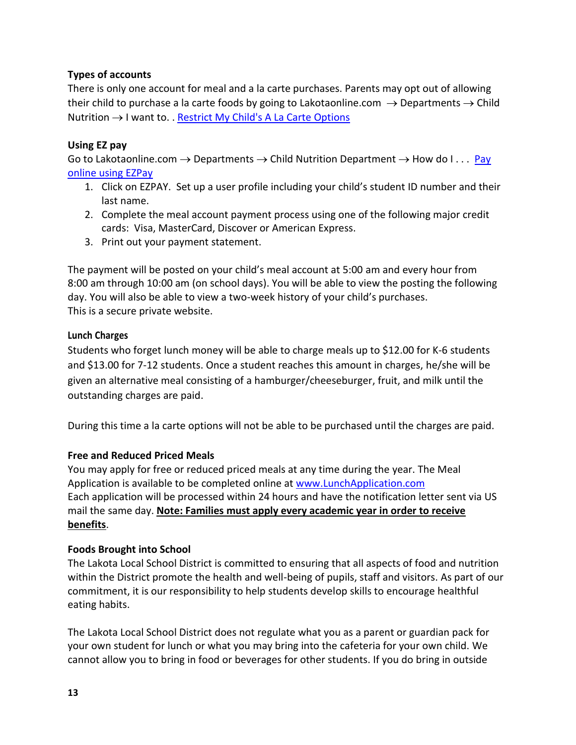## **Types of accounts**

There is only one account for meal and a la carte purchases. Parents may opt out of allowing their child to purchase a la carte foods by going to Lakotaonline.com  $\rightarrow$  Departments  $\rightarrow$  Child Nutrition → I want to. [. Restrict My Child's A La Carte Options](http://www.lakotaonline.com/files/filesystem/ALaCarteRestrictions%20.pdf)

## **Using EZ pay**

Go to Lakotaonline.com  $\rightarrow$  Departments  $\rightarrow$  Child Nutrition Department  $\rightarrow$  How do I... Pay [online using EZPay](http://www.lakotaonline.com/departments.cfm?subpage=1012)

- 1. Click on EZPAY. Set up a user profile including your child's student ID number and their last name.
- 2. Complete the meal account payment process using one of the following major credit cards: Visa, MasterCard, Discover or American Express.
- 3. Print out your payment statement.

The payment will be posted on your child's meal account at 5:00 am and every hour from 8:00 am through 10:00 am (on school days). You will be able to view the posting the following day. You will also be able to view a two-week history of your child's purchases. This is a secure private website.

#### **Lunch Charges**

Students who forget lunch money will be able to charge meals up to \$12.00 for K-6 students and \$13.00 for 7-12 students. Once a student reaches this amount in charges, he/she will be given an alternative meal consisting of a hamburger/cheeseburger, fruit, and milk until the outstanding charges are paid.

During this time a la carte options will not be able to be purchased until the charges are paid.

#### **Free and Reduced Priced Meals**

You may apply for free or reduced priced meals at any time during the year. The Meal Application is available to be completed online at [www.LunchApplication.com](http://www.lunchapplication.com/) Each application will be processed within 24 hours and have the notification letter sent via US mail the same day. **Note: Families must apply every academic year in order to receive benefits**.

#### **Foods Brought into School**

The Lakota Local School District is committed to ensuring that all aspects of food and nutrition within the District promote the health and well-being of pupils, staff and visitors. As part of our commitment, it is our responsibility to help students develop skills to encourage healthful eating habits.

The Lakota Local School District does not regulate what you as a parent or guardian pack for your own student for lunch or what you may bring into the cafeteria for your own child. We cannot allow you to bring in food or beverages for other students. If you do bring in outside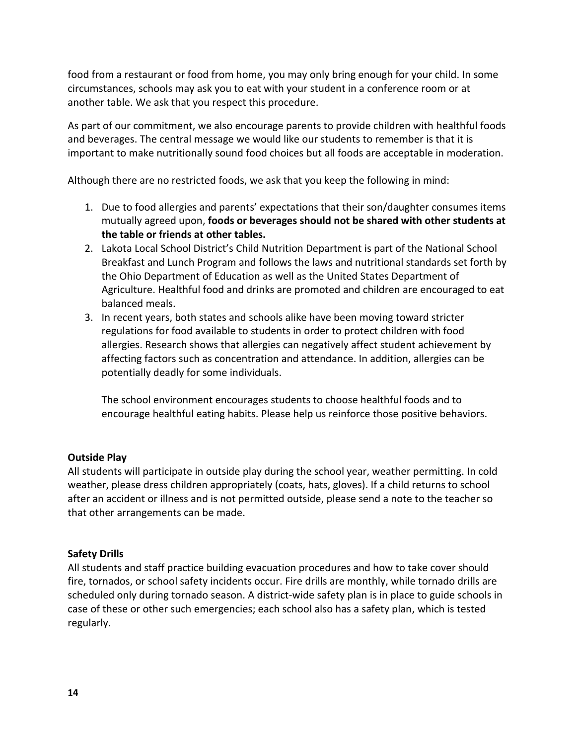food from a restaurant or food from home, you may only bring enough for your child. In some circumstances, schools may ask you to eat with your student in a conference room or at another table. We ask that you respect this procedure.

As part of our commitment, we also encourage parents to provide children with healthful foods and beverages. The central message we would like our students to remember is that it is important to make nutritionally sound food choices but all foods are acceptable in moderation.

Although there are no restricted foods, we ask that you keep the following in mind:

- 1. Due to food allergies and parents' expectations that their son/daughter consumes items mutually agreed upon, **foods or beverages should not be shared with other students at the table or friends at other tables.**
- 2. Lakota Local School District's Child Nutrition Department is part of the National School Breakfast and Lunch Program and follows the laws and nutritional standards set forth by the Ohio Department of Education as well as the United States Department of Agriculture. Healthful food and drinks are promoted and children are encouraged to eat balanced meals.
- 3. In recent years, both states and schools alike have been moving toward stricter regulations for food available to students in order to protect children with food allergies. Research shows that allergies can negatively affect student achievement by affecting factors such as concentration and attendance. In addition, allergies can be potentially deadly for some individuals.

The school environment encourages students to choose healthful foods and to encourage healthful eating habits. Please help us reinforce those positive behaviors.

## **Outside Play**

All students will participate in outside play during the school year, weather permitting. In cold weather, please dress children appropriately (coats, hats, gloves). If a child returns to school after an accident or illness and is not permitted outside, please send a note to the teacher so that other arrangements can be made.

## **Safety Drills**

All students and staff practice building evacuation procedures and how to take cover should fire, tornados, or school safety incidents occur. Fire drills are monthly, while tornado drills are scheduled only during tornado season. A district-wide safety plan is in place to guide schools in case of these or other such emergencies; each school also has a safety plan, which is tested regularly.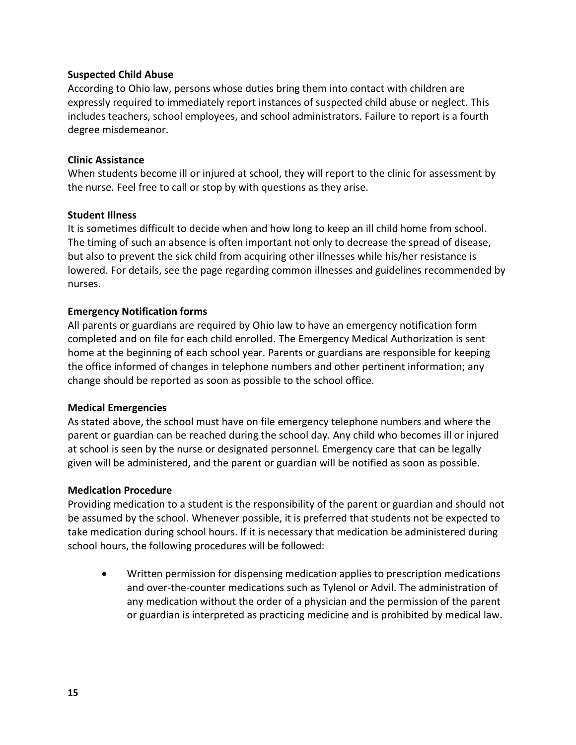#### **Suspected Child Abuse**

According to Ohio law, persons whose duties bring them into contact with children are expressly required to immediately report instances of suspected child abuse or neglect. This includes teachers, school employees, and school administrators. Failure to report is a fourth degree misdemeanor.

#### **Clinic Assistance**

When students become ill or injured at school, they will report to the clinic for assessment by the nurse. Feel free to call or stop by with questions as they arise.

#### **Student Illness**

It is sometimes difficult to decide when and how long to keep an ill child home from school. The timing of such an absence is often important not only to decrease the spread of disease, but also to prevent the sick child from acquiring other illnesses while his/her resistance is lowered. For details, see the page regarding common illnesses and guidelines recommended by nurses.

#### **Emergency Notification forms**

All parents or guardians are required by Ohio law to have an emergency notification form completed and on file for each child enrolled. The Emergency Medical Authorization is sent home at the beginning of each school year. Parents or guardians are responsible for keeping the office informed of changes in telephone numbers and other pertinent information; any change should be reported as soon as possible to the school office.

#### **Medical Emergencies**

As stated above, the school must have on file emergency telephone numbers and where the parent or guardian can be reached during the school day. Any child who becomes ill or injured at school is seen by the nurse or designated personnel. Emergency care that can be legally given will be administered, and the parent or guardian will be notified as soon as possible.

#### **Medication Procedure**

Providing medication to a student is the responsibility of the parent or guardian and should not be assumed by the school. Whenever possible, it is preferred that students not be expected to take medication during school hours. If it is necessary that medication be administered during school hours, the following procedures will be followed:

• Written permission for dispensing medication applies to prescription medications and over-the-counter medications such as Tylenol or Advil. The administration of any medication without the order of a physician and the permission of the parent or guardian is interpreted as practicing medicine and is prohibited by medical law.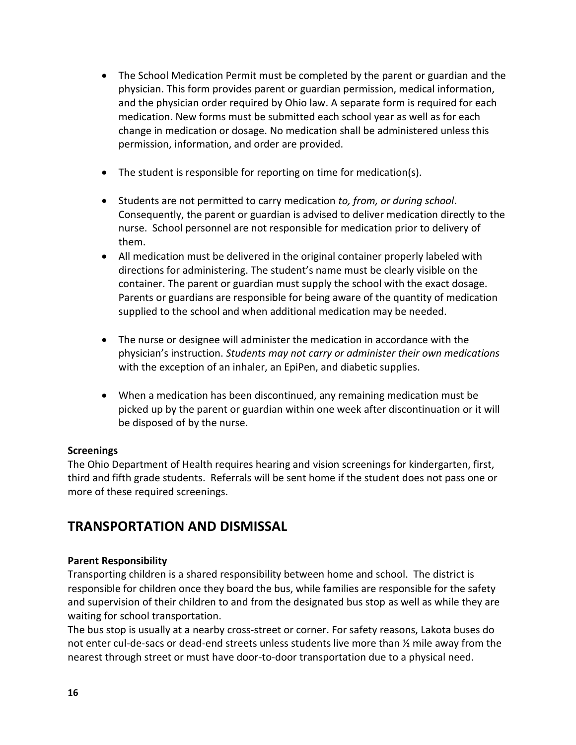- The School Medication Permit must be completed by the parent or guardian and the physician. This form provides parent or guardian permission, medical information, and the physician order required by Ohio law. A separate form is required for each medication. New forms must be submitted each school year as well as for each change in medication or dosage. No medication shall be administered unless this permission, information, and order are provided.
- The student is responsible for reporting on time for medication(s).
- Students are not permitted to carry medication *to, from, or during school*. Consequently, the parent or guardian is advised to deliver medication directly to the nurse. School personnel are not responsible for medication prior to delivery of them.
- All medication must be delivered in the original container properly labeled with directions for administering. The student's name must be clearly visible on the container. The parent or guardian must supply the school with the exact dosage. Parents or guardians are responsible for being aware of the quantity of medication supplied to the school and when additional medication may be needed.
- The nurse or designee will administer the medication in accordance with the physician's instruction. *Students may not carry or administer their own medications* with the exception of an inhaler, an EpiPen, and diabetic supplies.
- When a medication has been discontinued, any remaining medication must be picked up by the parent or guardian within one week after discontinuation or it will be disposed of by the nurse.

## **Screenings**

The Ohio Department of Health requires hearing and vision screenings for kindergarten, first, third and fifth grade students. Referrals will be sent home if the student does not pass one or more of these required screenings.

## **TRANSPORTATION AND DISMISSAL**

#### **Parent Responsibility**

Transporting children is a shared responsibility between home and school. The district is responsible for children once they board the bus, while families are responsible for the safety and supervision of their children to and from the designated bus stop as well as while they are waiting for school transportation.

The bus stop is usually at a nearby cross-street or corner. For safety reasons, Lakota buses do not enter cul-de-sacs or dead-end streets unless students live more than  $\frac{1}{2}$  mile away from the nearest through street or must have door-to-door transportation due to a physical need.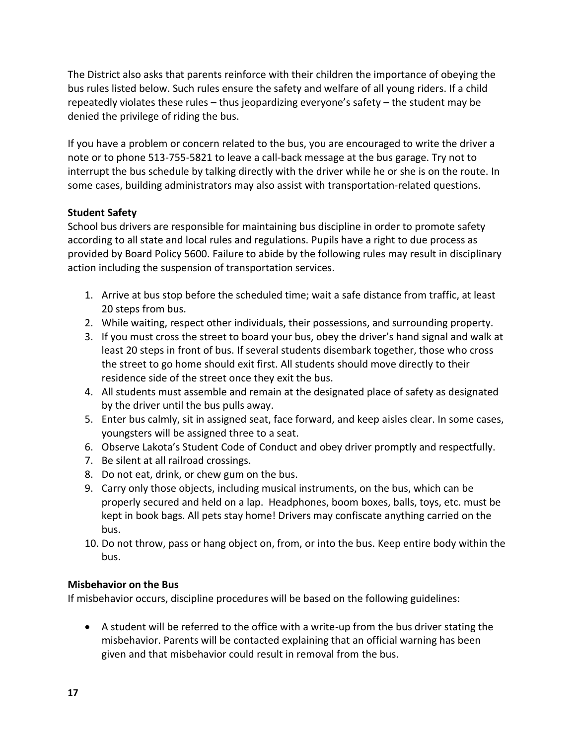The District also asks that parents reinforce with their children the importance of obeying the bus rules listed below. Such rules ensure the safety and welfare of all young riders. If a child repeatedly violates these rules – thus jeopardizing everyone's safety – the student may be denied the privilege of riding the bus.

If you have a problem or concern related to the bus, you are encouraged to write the driver a note or to phone 513-755-5821 to leave a call-back message at the bus garage. Try not to interrupt the bus schedule by talking directly with the driver while he or she is on the route. In some cases, building administrators may also assist with transportation-related questions.

## **Student Safety**

School bus drivers are responsible for maintaining bus discipline in order to promote safety according to all state and local rules and regulations. Pupils have a right to due process as provided by Board Policy 5600. Failure to abide by the following rules may result in disciplinary action including the suspension of transportation services.

- 1. Arrive at bus stop before the scheduled time; wait a safe distance from traffic, at least 20 steps from bus.
- 2. While waiting, respect other individuals, their possessions, and surrounding property.
- 3. If you must cross the street to board your bus, obey the driver's hand signal and walk at least 20 steps in front of bus. If several students disembark together, those who cross the street to go home should exit first. All students should move directly to their residence side of the street once they exit the bus.
- 4. All students must assemble and remain at the designated place of safety as designated by the driver until the bus pulls away.
- 5. Enter bus calmly, sit in assigned seat, face forward, and keep aisles clear. In some cases, youngsters will be assigned three to a seat.
- 6. Observe Lakota's Student Code of Conduct and obey driver promptly and respectfully.
- 7. Be silent at all railroad crossings.
- 8. Do not eat, drink, or chew gum on the bus.
- 9. Carry only those objects, including musical instruments, on the bus, which can be properly secured and held on a lap. Headphones, boom boxes, balls, toys, etc. must be kept in book bags. All pets stay home! Drivers may confiscate anything carried on the bus.
- 10. Do not throw, pass or hang object on, from, or into the bus. Keep entire body within the bus.

## **Misbehavior on the Bus**

If misbehavior occurs, discipline procedures will be based on the following guidelines:

• A student will be referred to the office with a write-up from the bus driver stating the misbehavior. Parents will be contacted explaining that an official warning has been given and that misbehavior could result in removal from the bus.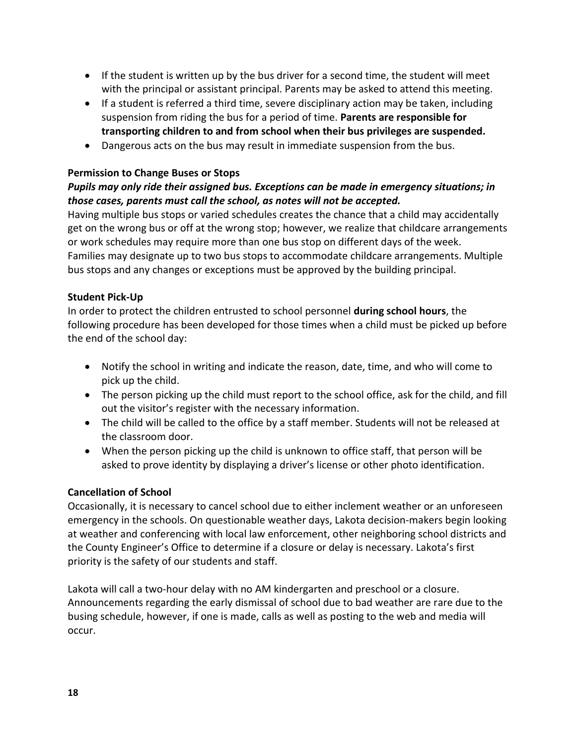- If the student is written up by the bus driver for a second time, the student will meet with the principal or assistant principal. Parents may be asked to attend this meeting.
- If a student is referred a third time, severe disciplinary action may be taken, including suspension from riding the bus for a period of time. **Parents are responsible for transporting children to and from school when their bus privileges are suspended.**
- Dangerous acts on the bus may result in immediate suspension from the bus.

## **Permission to Change Buses or Stops**

## *Pupils may only ride their assigned bus. Exceptions can be made in emergency situations; in those cases, parents must call the school, as notes will not be accepted.*

Having multiple bus stops or varied schedules creates the chance that a child may accidentally get on the wrong bus or off at the wrong stop; however, we realize that childcare arrangements or work schedules may require more than one bus stop on different days of the week. Families may designate up to two bus stops to accommodate childcare arrangements. Multiple bus stops and any changes or exceptions must be approved by the building principal.

## **Student Pick-Up**

In order to protect the children entrusted to school personnel **during school hours**, the following procedure has been developed for those times when a child must be picked up before the end of the school day:

- Notify the school in writing and indicate the reason, date, time, and who will come to pick up the child.
- The person picking up the child must report to the school office, ask for the child, and fill out the visitor's register with the necessary information.
- The child will be called to the office by a staff member. Students will not be released at the classroom door.
- When the person picking up the child is unknown to office staff, that person will be asked to prove identity by displaying a driver's license or other photo identification.

## **Cancellation of School**

Occasionally, it is necessary to cancel school due to either inclement weather or an unforeseen emergency in the schools. On questionable weather days, Lakota decision-makers begin looking at weather and conferencing with local law enforcement, other neighboring school districts and the County Engineer's Office to determine if a closure or delay is necessary. Lakota's first priority is the safety of our students and staff.

Lakota will call a two-hour delay with no AM kindergarten and preschool or a closure. Announcements regarding the early dismissal of school due to bad weather are rare due to the busing schedule, however, if one is made, calls as well as posting to the web and media will occur.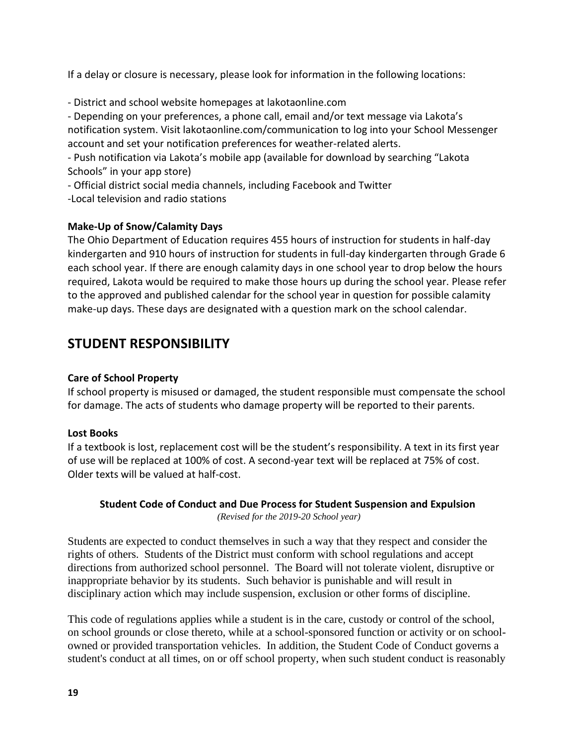If a delay or closure is necessary, please look for information in the following locations:

- District and school website homepages at lakotaonline.com

- Depending on your preferences, a phone call, email and/or text message via Lakota's notification system. Visit lakotaonline.com/communication to log into your School Messenger account and set your notification preferences for weather-related alerts.

- Push notification via Lakota's mobile app (available for download by searching "Lakota Schools" in your app store)

- Official district social media channels, including Facebook and Twitter

-Local television and radio stations

### **Make-Up of Snow/Calamity Days**

The Ohio Department of Education requires 455 hours of instruction for students in half-day kindergarten and 910 hours of instruction for students in full-day kindergarten through Grade 6 each school year. If there are enough calamity days in one school year to drop below the hours required, Lakota would be required to make those hours up during the school year. Please refer to the approved and published calendar for the school year in question for possible calamity make-up days. These days are designated with a question mark on the school calendar.

## <span id="page-18-0"></span>**STUDENT RESPONSIBILITY**

## **Care of School Property**

If school property is misused or damaged, the student responsible must compensate the school for damage. The acts of students who damage property will be reported to their parents.

## **Lost Books**

If a textbook is lost, replacement cost will be the student's responsibility. A text in its first year of use will be replaced at 100% of cost. A second-year text will be replaced at 75% of cost. Older texts will be valued at half-cost.

### **Student Code of Conduct and Due Process for Student Suspension and Expulsion** *(Revised for the 2019-20 School year)*

Students are expected to conduct themselves in such a way that they respect and consider the rights of others. Students of the District must conform with school regulations and accept directions from authorized school personnel. The Board will not tolerate violent, disruptive or inappropriate behavior by its students. Such behavior is punishable and will result in disciplinary action which may include suspension, exclusion or other forms of discipline.

This code of regulations applies while a student is in the care, custody or control of the school, on school grounds or close thereto, while at a school-sponsored function or activity or on schoolowned or provided transportation vehicles. In addition, the Student Code of Conduct governs a student's conduct at all times, on or off school property, when such student conduct is reasonably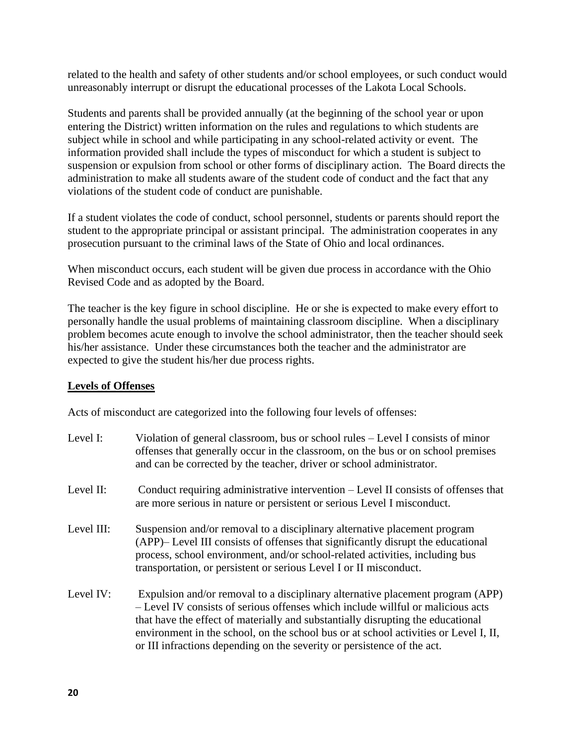related to the health and safety of other students and/or school employees, or such conduct would unreasonably interrupt or disrupt the educational processes of the Lakota Local Schools.

Students and parents shall be provided annually (at the beginning of the school year or upon entering the District) written information on the rules and regulations to which students are subject while in school and while participating in any school-related activity or event. The information provided shall include the types of misconduct for which a student is subject to suspension or expulsion from school or other forms of disciplinary action. The Board directs the administration to make all students aware of the student code of conduct and the fact that any violations of the student code of conduct are punishable.

If a student violates the code of conduct, school personnel, students or parents should report the student to the appropriate principal or assistant principal. The administration cooperates in any prosecution pursuant to the criminal laws of the State of Ohio and local ordinances.

When misconduct occurs, each student will be given due process in accordance with the Ohio Revised Code and as adopted by the Board.

The teacher is the key figure in school discipline. He or she is expected to make every effort to personally handle the usual problems of maintaining classroom discipline. When a disciplinary problem becomes acute enough to involve the school administrator, then the teacher should seek his/her assistance. Under these circumstances both the teacher and the administrator are expected to give the student his/her due process rights.

## **Levels of Offenses**

Acts of misconduct are categorized into the following four levels of offenses:

| Level I:   | Violation of general classroom, bus or school rules $-$ Level I consists of minor<br>offenses that generally occur in the classroom, on the bus or on school premises<br>and can be corrected by the teacher, driver or school administrator.                                                                                                                                                                           |
|------------|-------------------------------------------------------------------------------------------------------------------------------------------------------------------------------------------------------------------------------------------------------------------------------------------------------------------------------------------------------------------------------------------------------------------------|
| Level II:  | Conduct requiring administrative intervention – Level II consists of offenses that<br>are more serious in nature or persistent or serious Level I misconduct.                                                                                                                                                                                                                                                           |
| Level III: | Suspension and/or removal to a disciplinary alternative placement program<br>(APP)– Level III consists of offenses that significantly disrupt the educational<br>process, school environment, and/or school-related activities, including bus<br>transportation, or persistent or serious Level I or II misconduct.                                                                                                     |
| Level IV:  | Expulsion and/or removal to a disciplinary alternative placement program (APP)<br>- Level IV consists of serious offenses which include willful or malicious acts<br>that have the effect of materially and substantially disrupting the educational<br>environment in the school, on the school bus or at school activities or Level I, II,<br>or III infractions depending on the severity or persistence of the act. |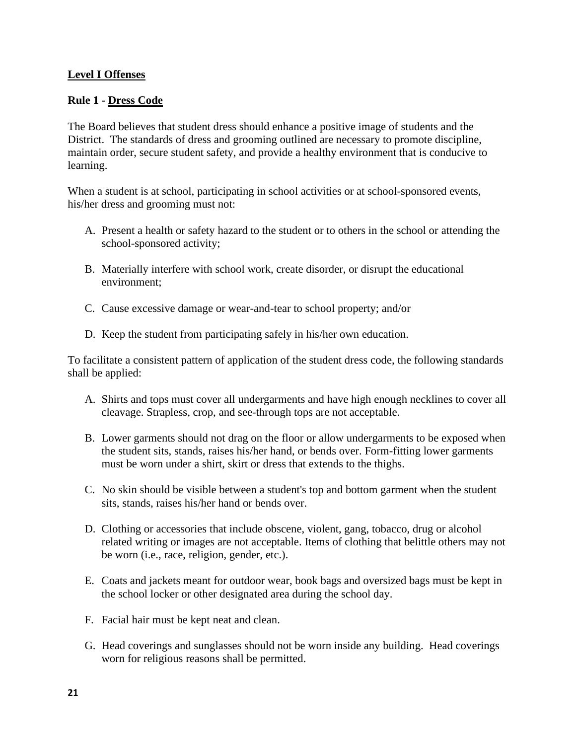## **Level I Offenses**

## **Rule 1 - Dress Code**

The Board believes that student dress should enhance a positive image of students and the District. The standards of dress and grooming outlined are necessary to promote discipline, maintain order, secure student safety, and provide a healthy environment that is conducive to learning.

When a student is at school, participating in school activities or at school-sponsored events, his/her dress and grooming must not:

- A. Present a health or safety hazard to the student or to others in the school or attending the school-sponsored activity;
- B. Materially interfere with school work, create disorder, or disrupt the educational environment;
- C. Cause excessive damage or wear-and-tear to school property; and/or
- D. Keep the student from participating safely in his/her own education.

To facilitate a consistent pattern of application of the student dress code, the following standards shall be applied:

- A. Shirts and tops must cover all undergarments and have high enough necklines to cover all cleavage. Strapless, crop, and see-through tops are not acceptable.
- B. Lower garments should not drag on the floor or allow undergarments to be exposed when the student sits, stands, raises his/her hand, or bends over. Form-fitting lower garments must be worn under a shirt, skirt or dress that extends to the thighs.
- C. No skin should be visible between a student's top and bottom garment when the student sits, stands, raises his/her hand or bends over.
- D. Clothing or accessories that include obscene, violent, gang, tobacco, drug or alcohol related writing or images are not acceptable. Items of clothing that belittle others may not be worn (i.e., race, religion, gender, etc.).
- E. Coats and jackets meant for outdoor wear, book bags and oversized bags must be kept in the school locker or other designated area during the school day.
- F. Facial hair must be kept neat and clean.
- G. Head coverings and sunglasses should not be worn inside any building. Head coverings worn for religious reasons shall be permitted.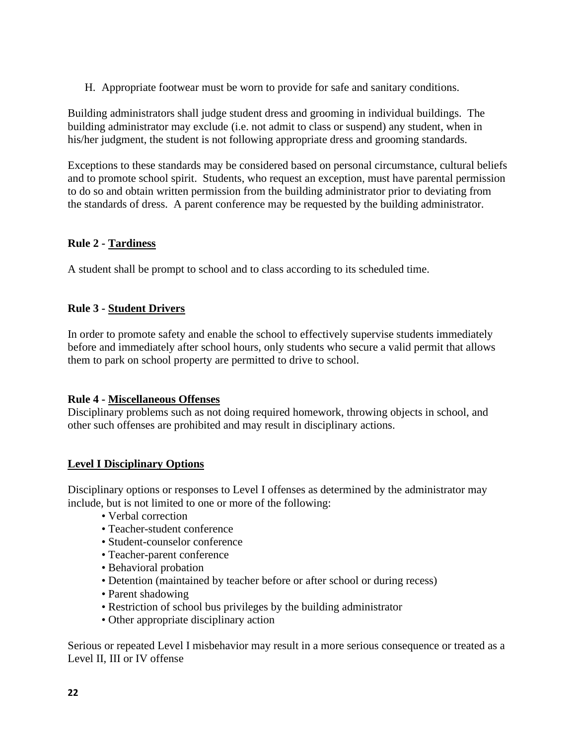H. Appropriate footwear must be worn to provide for safe and sanitary conditions.

Building administrators shall judge student dress and grooming in individual buildings. The building administrator may exclude (i.e. not admit to class or suspend) any student, when in his/her judgment, the student is not following appropriate dress and grooming standards.

Exceptions to these standards may be considered based on personal circumstance, cultural beliefs and to promote school spirit. Students, who request an exception, must have parental permission to do so and obtain written permission from the building administrator prior to deviating from the standards of dress. A parent conference may be requested by the building administrator.

### **Rule 2 - Tardiness**

A student shall be prompt to school and to class according to its scheduled time.

### **Rule 3 - Student Drivers**

In order to promote safety and enable the school to effectively supervise students immediately before and immediately after school hours, only students who secure a valid permit that allows them to park on school property are permitted to drive to school.

#### **Rule 4 - Miscellaneous Offenses**

Disciplinary problems such as not doing required homework, throwing objects in school, and other such offenses are prohibited and may result in disciplinary actions.

## **Level I Disciplinary Options**

Disciplinary options or responses to Level I offenses as determined by the administrator may include, but is not limited to one or more of the following:

- Verbal correction
- Teacher-student conference
- Student-counselor conference
- Teacher-parent conference
- Behavioral probation
- Detention (maintained by teacher before or after school or during recess)
- Parent shadowing
- Restriction of school bus privileges by the building administrator
- Other appropriate disciplinary action

Serious or repeated Level I misbehavior may result in a more serious consequence or treated as a Level II, III or IV offense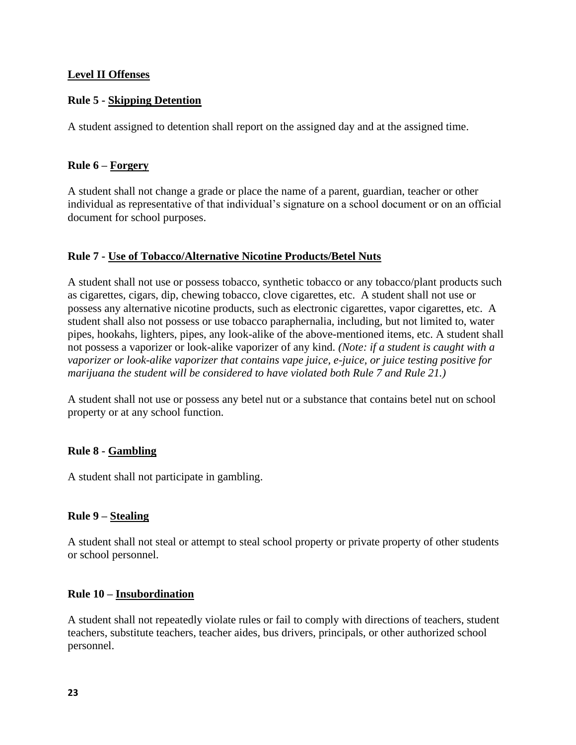## **Level II Offenses**

## **Rule 5 - Skipping Detention**

A student assigned to detention shall report on the assigned day and at the assigned time.

## **Rule 6 – Forgery**

A student shall not change a grade or place the name of a parent, guardian, teacher or other individual as representative of that individual's signature on a school document or on an official document for school purposes.

### **Rule 7 - Use of Tobacco/Alternative Nicotine Products/Betel Nuts**

A student shall not use or possess tobacco, synthetic tobacco or any tobacco/plant products such as cigarettes, cigars, dip, chewing tobacco, clove cigarettes, etc. A student shall not use or possess any alternative nicotine products, such as electronic cigarettes, vapor cigarettes, etc. A student shall also not possess or use tobacco paraphernalia, including, but not limited to, water pipes, hookahs, lighters, pipes, any look-alike of the above-mentioned items, etc. A student shall not possess a vaporizer or look-alike vaporizer of any kind. *(Note: if a student is caught with a vaporizer or look-alike vaporizer that contains vape juice, e-juice, or juice testing positive for marijuana the student will be considered to have violated both Rule 7 and Rule 21.)*

A student shall not use or possess any betel nut or a substance that contains betel nut on school property or at any school function.

## **Rule 8 - Gambling**

A student shall not participate in gambling.

## **Rule 9 – Stealing**

A student shall not steal or attempt to steal school property or private property of other students or school personnel.

#### **Rule 10 – Insubordination**

A student shall not repeatedly violate rules or fail to comply with directions of teachers, student teachers, substitute teachers, teacher aides, bus drivers, principals, or other authorized school personnel.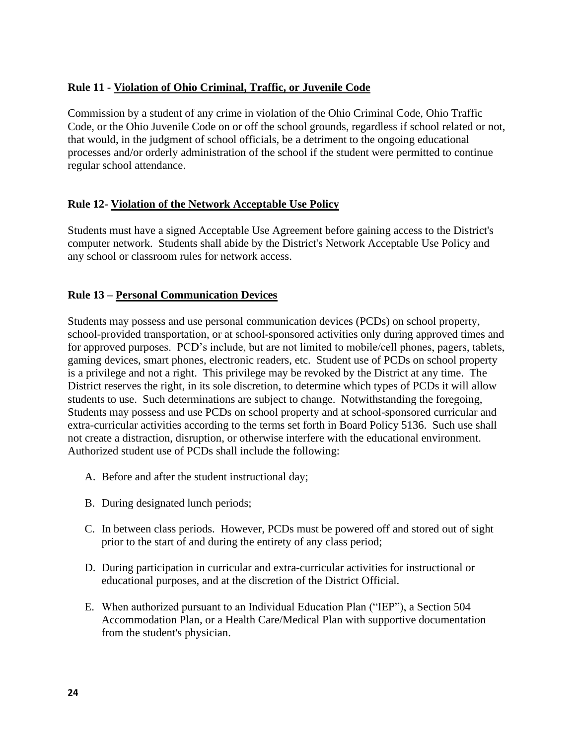## **Rule 11 - Violation of Ohio Criminal, Traffic, or Juvenile Code**

Commission by a student of any crime in violation of the Ohio Criminal Code, Ohio Traffic Code, or the Ohio Juvenile Code on or off the school grounds, regardless if school related or not, that would, in the judgment of school officials, be a detriment to the ongoing educational processes and/or orderly administration of the school if the student were permitted to continue regular school attendance.

## **Rule 12- Violation of the Network Acceptable Use Policy**

Students must have a signed Acceptable Use Agreement before gaining access to the District's computer network. Students shall abide by the District's Network Acceptable Use Policy and any school or classroom rules for network access.

### **Rule 13 – Personal Communication Devices**

Students may possess and use personal communication devices (PCDs) on school property, school-provided transportation, or at school-sponsored activities only during approved times and for approved purposes. PCD's include, but are not limited to mobile/cell phones, pagers, tablets, gaming devices, smart phones, electronic readers, etc. Student use of PCDs on school property is a privilege and not a right. This privilege may be revoked by the District at any time. The District reserves the right, in its sole discretion, to determine which types of PCDs it will allow students to use. Such determinations are subject to change. Notwithstanding the foregoing, Students may possess and use PCDs on school property and at school-sponsored curricular and extra-curricular activities according to the terms set forth in Board Policy 5136. Such use shall not create a distraction, disruption, or otherwise interfere with the educational environment. Authorized student use of PCDs shall include the following:

- A. Before and after the student instructional day;
- B. During designated lunch periods;
- C. In between class periods. However, PCDs must be powered off and stored out of sight prior to the start of and during the entirety of any class period;
- D. During participation in curricular and extra-curricular activities for instructional or educational purposes, and at the discretion of the District Official.
- E. When authorized pursuant to an Individual Education Plan ("IEP"), a Section 504 Accommodation Plan, or a Health Care/Medical Plan with supportive documentation from the student's physician.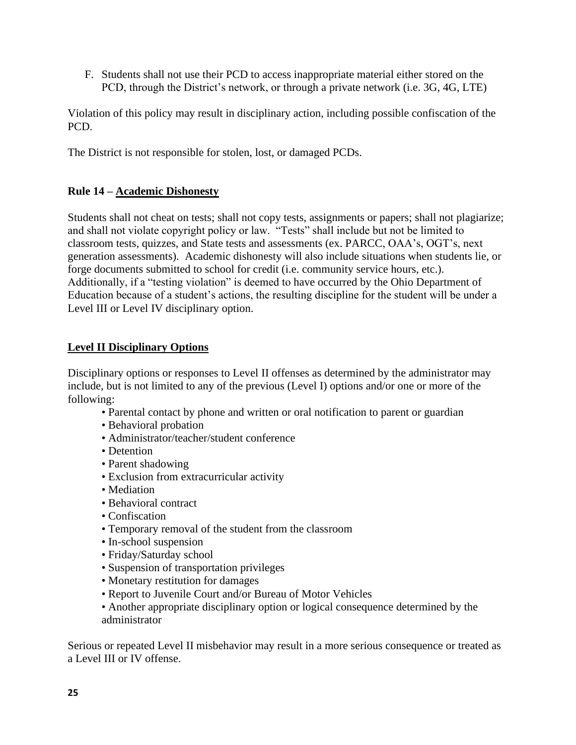F. Students shall not use their PCD to access inappropriate material either stored on the PCD, through the District's network, or through a private network (i.e. 3G, 4G, LTE)

Violation of this policy may result in disciplinary action, including possible confiscation of the PCD.

The District is not responsible for stolen, lost, or damaged PCDs.

## **Rule 14 – Academic Dishonesty**

Students shall not cheat on tests; shall not copy tests, assignments or papers; shall not plagiarize; and shall not violate copyright policy or law. "Tests" shall include but not be limited to classroom tests, quizzes, and State tests and assessments (ex. PARCC, OAA's, OGT's, next generation assessments). Academic dishonesty will also include situations when students lie, or forge documents submitted to school for credit (i.e. community service hours, etc.). Additionally, if a "testing violation" is deemed to have occurred by the Ohio Department of Education because of a student's actions, the resulting discipline for the student will be under a Level III or Level IV disciplinary option.

## **Level II Disciplinary Options**

Disciplinary options or responses to Level II offenses as determined by the administrator may include, but is not limited to any of the previous (Level I) options and/or one or more of the following:

- Parental contact by phone and written or oral notification to parent or guardian
- Behavioral probation
- Administrator/teacher/student conference
- Detention
- Parent shadowing
- Exclusion from extracurricular activity
- Mediation
- Behavioral contract
- Confiscation
- Temporary removal of the student from the classroom
- In-school suspension
- Friday/Saturday school
- Suspension of transportation privileges
- Monetary restitution for damages
- Report to Juvenile Court and/or Bureau of Motor Vehicles
- Another appropriate disciplinary option or logical consequence determined by the administrator

Serious or repeated Level II misbehavior may result in a more serious consequence or treated as a Level III or IV offense.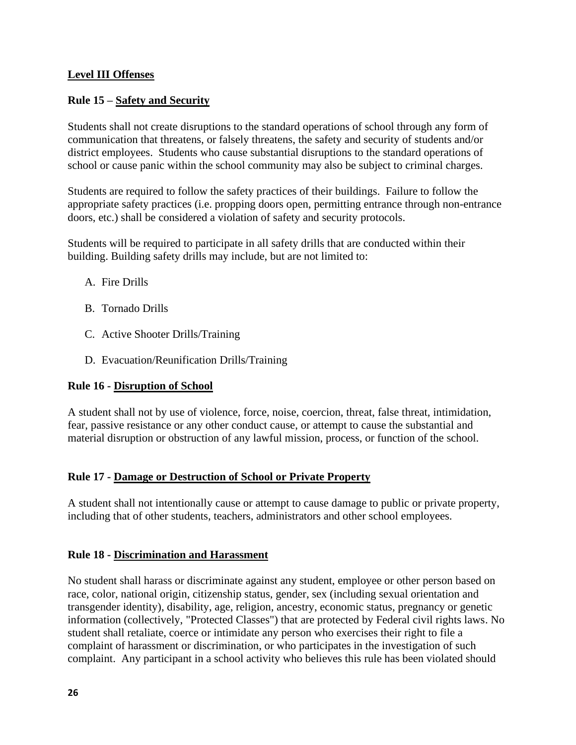## **Level III Offenses**

### **Rule 15 – Safety and Security**

Students shall not create disruptions to the standard operations of school through any form of communication that threatens, or falsely threatens, the safety and security of students and/or district employees. Students who cause substantial disruptions to the standard operations of school or cause panic within the school community may also be subject to criminal charges.

Students are required to follow the safety practices of their buildings. Failure to follow the appropriate safety practices (i.e. propping doors open, permitting entrance through non-entrance doors, etc.) shall be considered a violation of safety and security protocols.

Students will be required to participate in all safety drills that are conducted within their building. Building safety drills may include, but are not limited to:

- A. Fire Drills
- B. Tornado Drills
- C. Active Shooter Drills/Training
- D. Evacuation/Reunification Drills/Training

#### **Rule 16 - Disruption of School**

A student shall not by use of violence, force, noise, coercion, threat, false threat, intimidation, fear, passive resistance or any other conduct cause, or attempt to cause the substantial and material disruption or obstruction of any lawful mission, process, or function of the school.

#### **Rule 17 - Damage or Destruction of School or Private Property**

A student shall not intentionally cause or attempt to cause damage to public or private property, including that of other students, teachers, administrators and other school employees.

#### **Rule 18 - Discrimination and Harassment**

No student shall harass or discriminate against any student, employee or other person based on race, color, national origin, citizenship status, gender, sex (including sexual orientation and transgender identity), disability, age, religion, ancestry, economic status, pregnancy or genetic information (collectively, "Protected Classes") that are protected by Federal civil rights laws. No student shall retaliate, coerce or intimidate any person who exercises their right to file a complaint of harassment or discrimination, or who participates in the investigation of such complaint. Any participant in a school activity who believes this rule has been violated should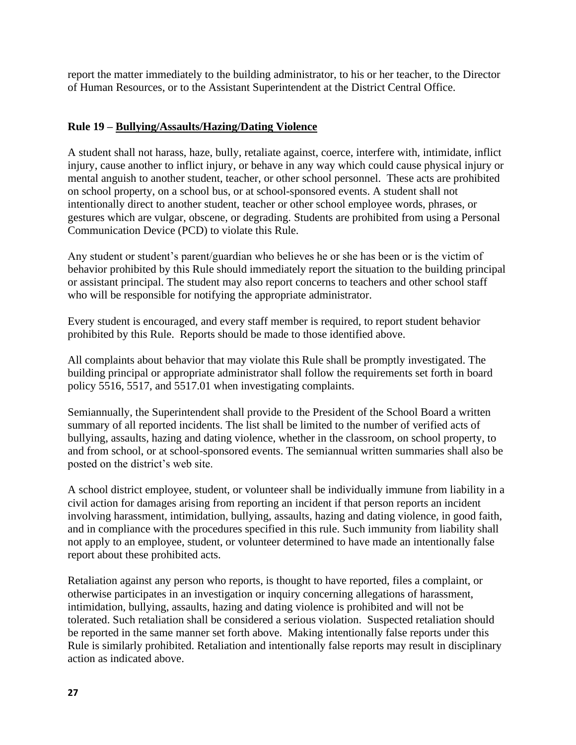report the matter immediately to the building administrator, to his or her teacher, to the Director of Human Resources, or to the Assistant Superintendent at the District Central Office.

## **Rule 19 – Bullying/Assaults/Hazing/Dating Violence**

A student shall not harass, haze, bully, retaliate against, coerce, interfere with, intimidate, inflict injury, cause another to inflict injury, or behave in any way which could cause physical injury or mental anguish to another student, teacher, or other school personnel. These acts are prohibited on school property, on a school bus, or at school-sponsored events. A student shall not intentionally direct to another student, teacher or other school employee words, phrases, or gestures which are vulgar, obscene, or degrading. Students are prohibited from using a Personal Communication Device (PCD) to violate this Rule.

Any student or student's parent/guardian who believes he or she has been or is the victim of behavior prohibited by this Rule should immediately report the situation to the building principal or assistant principal. The student may also report concerns to teachers and other school staff who will be responsible for notifying the appropriate administrator.

Every student is encouraged, and every staff member is required, to report student behavior prohibited by this Rule. Reports should be made to those identified above.

All complaints about behavior that may violate this Rule shall be promptly investigated. The building principal or appropriate administrator shall follow the requirements set forth in board policy 5516, 5517, and 5517.01 when investigating complaints.

Semiannually, the Superintendent shall provide to the President of the School Board a written summary of all reported incidents. The list shall be limited to the number of verified acts of bullying, assaults, hazing and dating violence, whether in the classroom, on school property, to and from school, or at school-sponsored events. The semiannual written summaries shall also be posted on the district's web site.

A school district employee, student, or volunteer shall be individually immune from liability in a civil action for damages arising from reporting an incident if that person reports an incident involving harassment, intimidation, bullying, assaults, hazing and dating violence, in good faith, and in compliance with the procedures specified in this rule. Such immunity from liability shall not apply to an employee, student, or volunteer determined to have made an intentionally false report about these prohibited acts.

Retaliation against any person who reports, is thought to have reported, files a complaint, or otherwise participates in an investigation or inquiry concerning allegations of harassment, intimidation, bullying, assaults, hazing and dating violence is prohibited and will not be tolerated. Such retaliation shall be considered a serious violation. Suspected retaliation should be reported in the same manner set forth above. Making intentionally false reports under this Rule is similarly prohibited. Retaliation and intentionally false reports may result in disciplinary action as indicated above.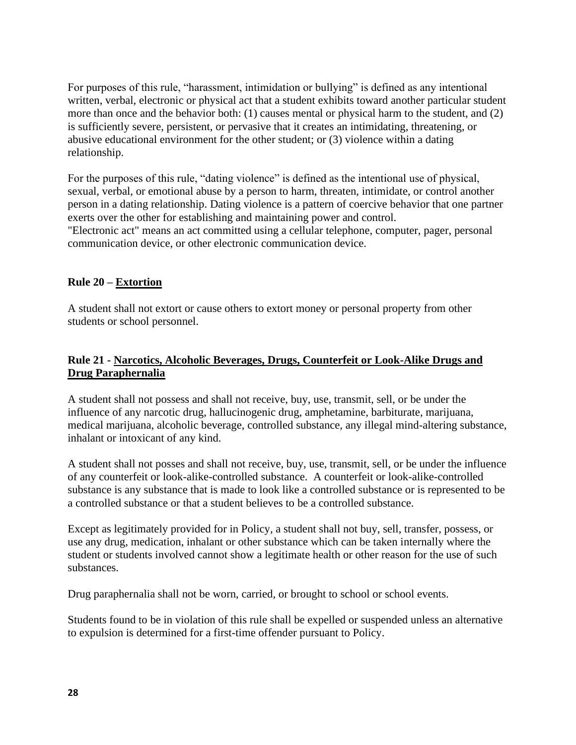For purposes of this rule, "harassment, intimidation or bullying" is defined as any intentional written, verbal, electronic or physical act that a student exhibits toward another particular student more than once and the behavior both: (1) causes mental or physical harm to the student, and (2) is sufficiently severe, persistent, or pervasive that it creates an intimidating, threatening, or abusive educational environment for the other student; or (3) violence within a dating relationship.

For the purposes of this rule, "dating violence" is defined as the intentional use of physical, sexual, verbal, or emotional abuse by a person to harm, threaten, intimidate, or control another person in a dating relationship. Dating violence is a pattern of coercive behavior that one partner exerts over the other for establishing and maintaining power and control. "Electronic act" means an act committed using a cellular telephone, computer, pager, personal communication device, or other electronic communication device.

## **Rule 20 – Extortion**

A student shall not extort or cause others to extort money or personal property from other students or school personnel.

## **Rule 21 - Narcotics, Alcoholic Beverages, Drugs, Counterfeit or Look-Alike Drugs and Drug Paraphernalia**

A student shall not possess and shall not receive, buy, use, transmit, sell, or be under the influence of any narcotic drug, hallucinogenic drug, amphetamine, barbiturate, marijuana, medical marijuana, alcoholic beverage, controlled substance, any illegal mind-altering substance, inhalant or intoxicant of any kind.

A student shall not posses and shall not receive, buy, use, transmit, sell, or be under the influence of any counterfeit or look-alike-controlled substance. A counterfeit or look-alike-controlled substance is any substance that is made to look like a controlled substance or is represented to be a controlled substance or that a student believes to be a controlled substance.

Except as legitimately provided for in Policy, a student shall not buy, sell, transfer, possess, or use any drug, medication, inhalant or other substance which can be taken internally where the student or students involved cannot show a legitimate health or other reason for the use of such substances.

Drug paraphernalia shall not be worn, carried, or brought to school or school events.

Students found to be in violation of this rule shall be expelled or suspended unless an alternative to expulsion is determined for a first-time offender pursuant to Policy.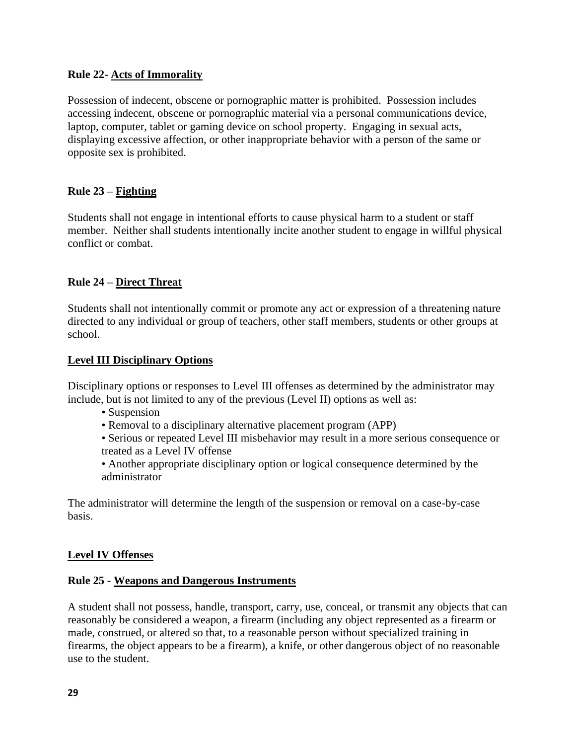### **Rule 22- Acts of Immorality**

Possession of indecent, obscene or pornographic matter is prohibited. Possession includes accessing indecent, obscene or pornographic material via a personal communications device, laptop, computer, tablet or gaming device on school property. Engaging in sexual acts, displaying excessive affection, or other inappropriate behavior with a person of the same or opposite sex is prohibited.

### **Rule 23 – Fighting**

Students shall not engage in intentional efforts to cause physical harm to a student or staff member. Neither shall students intentionally incite another student to engage in willful physical conflict or combat.

### **Rule 24 – Direct Threat**

Students shall not intentionally commit or promote any act or expression of a threatening nature directed to any individual or group of teachers, other staff members, students or other groups at school.

### **Level III Disciplinary Options**

Disciplinary options or responses to Level III offenses as determined by the administrator may include, but is not limited to any of the previous (Level II) options as well as:

- Suspension
- Removal to a disciplinary alternative placement program (APP)
- Serious or repeated Level III misbehavior may result in a more serious consequence or treated as a Level IV offense
- Another appropriate disciplinary option or logical consequence determined by the administrator

The administrator will determine the length of the suspension or removal on a case-by-case basis.

#### **Level IV Offenses**

#### **Rule 25 - Weapons and Dangerous Instruments**

A student shall not possess, handle, transport, carry, use, conceal, or transmit any objects that can reasonably be considered a weapon, a firearm (including any object represented as a firearm or made, construed, or altered so that, to a reasonable person without specialized training in firearms, the object appears to be a firearm), a knife, or other dangerous object of no reasonable use to the student.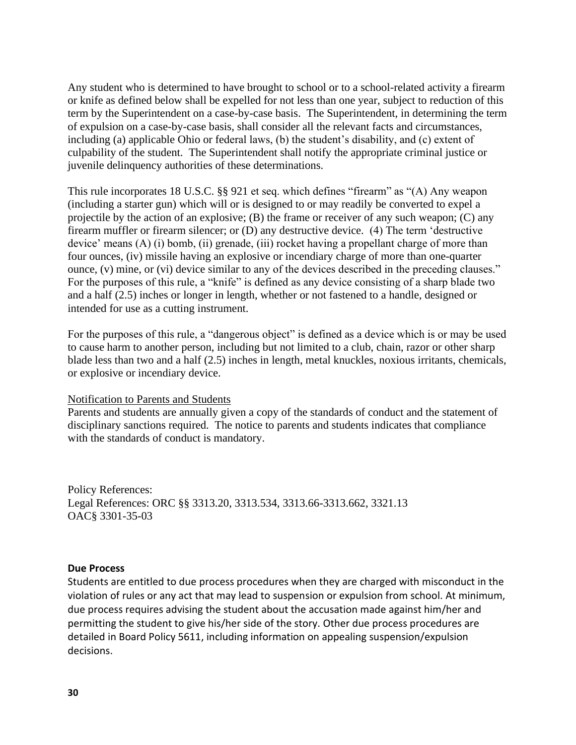Any student who is determined to have brought to school or to a school-related activity a firearm or knife as defined below shall be expelled for not less than one year, subject to reduction of this term by the Superintendent on a case-by-case basis. The Superintendent, in determining the term of expulsion on a case-by-case basis, shall consider all the relevant facts and circumstances, including (a) applicable Ohio or federal laws, (b) the student's disability, and (c) extent of culpability of the student. The Superintendent shall notify the appropriate criminal justice or juvenile delinquency authorities of these determinations.

This rule incorporates 18 U.S.C. §§ 921 et seq. which defines "firearm" as "(A) Any weapon (including a starter gun) which will or is designed to or may readily be converted to expel a projectile by the action of an explosive; (B) the frame or receiver of any such weapon; (C) any firearm muffler or firearm silencer; or (D) any destructive device. (4) The term 'destructive device' means (A) (i) bomb, (ii) grenade, (iii) rocket having a propellant charge of more than four ounces, (iv) missile having an explosive or incendiary charge of more than one-quarter ounce, (v) mine, or (vi) device similar to any of the devices described in the preceding clauses." For the purposes of this rule, a "knife" is defined as any device consisting of a sharp blade two and a half (2.5) inches or longer in length, whether or not fastened to a handle, designed or intended for use as a cutting instrument.

For the purposes of this rule, a "dangerous object" is defined as a device which is or may be used to cause harm to another person, including but not limited to a club, chain, razor or other sharp blade less than two and a half (2.5) inches in length, metal knuckles, noxious irritants, chemicals, or explosive or incendiary device.

#### Notification to Parents and Students

Parents and students are annually given a copy of the standards of conduct and the statement of disciplinary sanctions required. The notice to parents and students indicates that compliance with the standards of conduct is mandatory.

Policy References: Legal References: ORC §§ 3313.20, 3313.534, 3313.66-3313.662, 3321.13 OAC§ 3301-35-03

#### **Due Process**

Students are entitled to due process procedures when they are charged with misconduct in the violation of rules or any act that may lead to suspension or expulsion from school. At minimum, due process requires advising the student about the accusation made against him/her and permitting the student to give his/her side of the story. Other due process procedures are detailed in Board Policy 5611, including information on appealing suspension/expulsion decisions.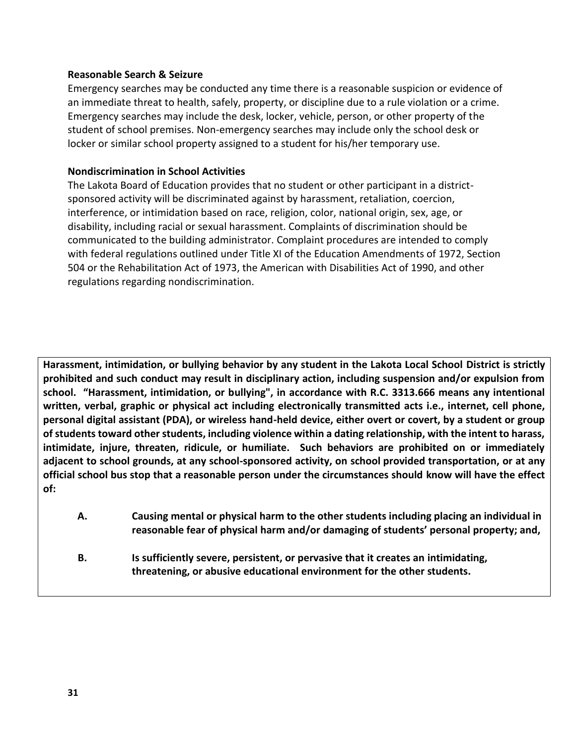#### **Reasonable Search & Seizure**

Emergency searches may be conducted any time there is a reasonable suspicion or evidence of an immediate threat to health, safely, property, or discipline due to a rule violation or a crime. Emergency searches may include the desk, locker, vehicle, person, or other property of the student of school premises. Non-emergency searches may include only the school desk or locker or similar school property assigned to a student for his/her temporary use.

#### **Nondiscrimination in School Activities**

The Lakota Board of Education provides that no student or other participant in a districtsponsored activity will be discriminated against by harassment, retaliation, coercion, interference, or intimidation based on race, religion, color, national origin, sex, age, or disability, including racial or sexual harassment. Complaints of discrimination should be communicated to the building administrator. Complaint procedures are intended to comply with federal regulations outlined under Title XI of the Education Amendments of 1972, Section 504 or the Rehabilitation Act of 1973, the American with Disabilities Act of 1990, and other regulations regarding nondiscrimination.

**Harassment, intimidation, or bullying behavior by any student in the Lakota Local School District is strictly prohibited and such conduct may result in disciplinary action, including suspension and/or expulsion from school. "Harassment, intimidation, or bullying", in accordance with R.C. 3313.666 means any intentional written, verbal, graphic or physical act including electronically transmitted acts i.e., internet, cell phone, personal digital assistant (PDA), or wireless hand-held device, either overt or covert, by a student or group of students toward other students, including violence within a dating relationship, with the intent to harass, intimidate, injure, threaten, ridicule, or humiliate. Such behaviors are prohibited on or immediately adjacent to school grounds, at any school-sponsored activity, on school provided transportation, or at any official school bus stop that a reasonable person under the circumstances should know will have the effect of:**

- **A. Causing mental or physical harm to the other students including placing an individual in reasonable fear of physical harm and/or damaging of students' personal property; and,**
- <span id="page-30-0"></span>**B. Is sufficiently severe, persistent, or pervasive that it creates an intimidating, threatening, or abusive educational environment for the other students.**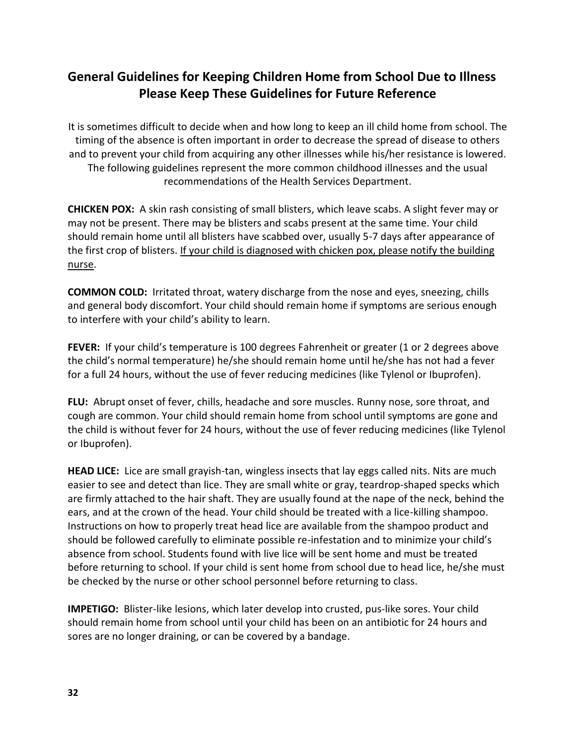## **General Guidelines for Keeping Children Home from School Due to Illness Please Keep These Guidelines for Future Reference**

It is sometimes difficult to decide when and how long to keep an ill child home from school. The timing of the absence is often important in order to decrease the spread of disease to others and to prevent your child from acquiring any other illnesses while his/her resistance is lowered. The following guidelines represent the more common childhood illnesses and the usual recommendations of the Health Services Department.

**CHICKEN POX:** A skin rash consisting of small blisters, which leave scabs. A slight fever may or may not be present. There may be blisters and scabs present at the same time. Your child should remain home until all blisters have scabbed over, usually 5-7 days after appearance of the first crop of blisters. If your child is diagnosed with chicken pox, please notify the building nurse.

**COMMON COLD:** Irritated throat, watery discharge from the nose and eyes, sneezing, chills and general body discomfort. Your child should remain home if symptoms are serious enough to interfere with your child's ability to learn.

**FEVER:** If your child's temperature is 100 degrees Fahrenheit or greater (1 or 2 degrees above the child's normal temperature) he/she should remain home until he/she has not had a fever for a full 24 hours, without the use of fever reducing medicines (like Tylenol or Ibuprofen).

**FLU:** Abrupt onset of fever, chills, headache and sore muscles. Runny nose, sore throat, and cough are common. Your child should remain home from school until symptoms are gone and the child is without fever for 24 hours, without the use of fever reducing medicines (like Tylenol or Ibuprofen).

**HEAD LICE:** Lice are small grayish-tan, wingless insects that lay eggs called nits. Nits are much easier to see and detect than lice. They are small white or gray, teardrop-shaped specks which are firmly attached to the hair shaft. They are usually found at the nape of the neck, behind the ears, and at the crown of the head. Your child should be treated with a lice-killing shampoo. Instructions on how to properly treat head lice are available from the shampoo product and should be followed carefully to eliminate possible re-infestation and to minimize your child's absence from school. Students found with live lice will be sent home and must be treated before returning to school. If your child is sent home from school due to head lice, he/she must be checked by the nurse or other school personnel before returning to class.

**IMPETIGO:** Blister-like lesions, which later develop into crusted, pus-like sores. Your child should remain home from school until your child has been on an antibiotic for 24 hours and sores are no longer draining, or can be covered by a bandage.